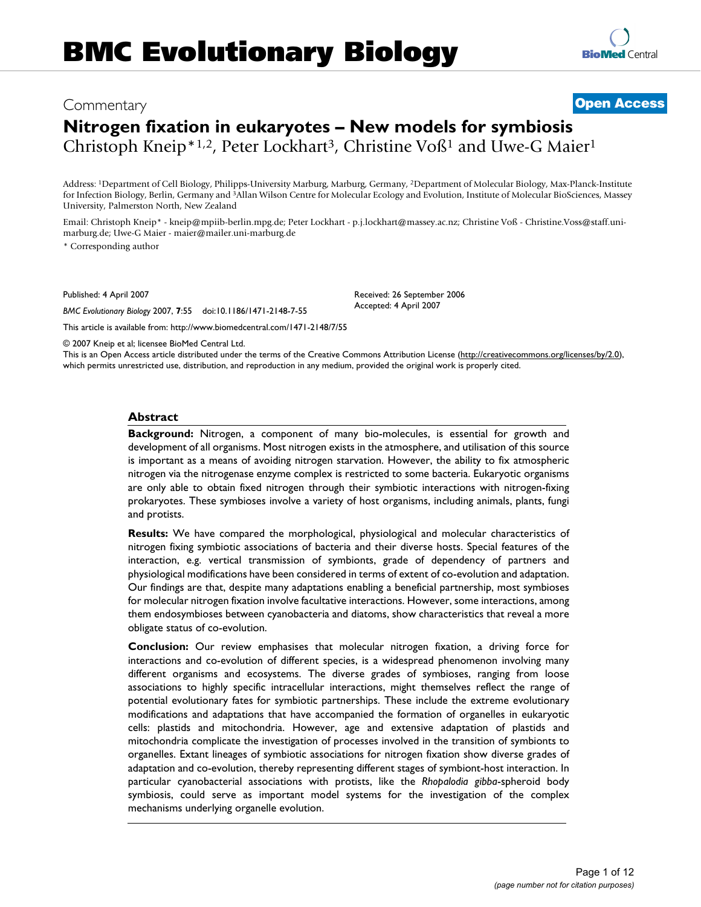# Commentary **[Open Access](http://www.biomedcentral.com/info/about/charter/)**

# **Nitrogen fixation in eukaryotes – New models for symbiosis** Christoph Kneip<sup>\*1,2</sup>, Peter Lockhart<sup>3</sup>, Christine Voß<sup>1</sup> and Uwe-G Maier<sup>1</sup>

Address: 1Department of Cell Biology, Philipps-University Marburg, Marburg, Germany, 2Department of Molecular Biology, Max-Planck-Institute for Infection Biology, Berlin, Germany and 3Allan Wilson Centre for Molecular Ecology and Evolution, Institute of Molecular BioSciences, Massey University, Palmerston North, New Zealand

Email: Christoph Kneip\* - kneip@mpiib-berlin.mpg.de; Peter Lockhart - p.j.lockhart@massey.ac.nz; Christine Voß - Christine.Voss@staff.unimarburg.de; Uwe-G Maier - maier@mailer.uni-marburg.de

> Received: 26 September 2006 Accepted: 4 April 2007

\* Corresponding author

Published: 4 April 2007

*BMC Evolutionary Biology* 2007, **7**:55 doi:10.1186/1471-2148-7-55

[This article is available from: http://www.biomedcentral.com/1471-2148/7/55](http://www.biomedcentral.com/1471-2148/7/55)

© 2007 Kneip et al; licensee BioMed Central Ltd.

This is an Open Access article distributed under the terms of the Creative Commons Attribution License [\(http://creativecommons.org/licenses/by/2.0\)](http://creativecommons.org/licenses/by/2.0), which permits unrestricted use, distribution, and reproduction in any medium, provided the original work is properly cited.

#### **Abstract**

**Background:** Nitrogen, a component of many bio-molecules, is essential for growth and development of all organisms. Most nitrogen exists in the atmosphere, and utilisation of this source is important as a means of avoiding nitrogen starvation. However, the ability to fix atmospheric nitrogen via the nitrogenase enzyme complex is restricted to some bacteria. Eukaryotic organisms are only able to obtain fixed nitrogen through their symbiotic interactions with nitrogen-fixing prokaryotes. These symbioses involve a variety of host organisms, including animals, plants, fungi and protists.

**Results:** We have compared the morphological, physiological and molecular characteristics of nitrogen fixing symbiotic associations of bacteria and their diverse hosts. Special features of the interaction, e.g. vertical transmission of symbionts, grade of dependency of partners and physiological modifications have been considered in terms of extent of co-evolution and adaptation. Our findings are that, despite many adaptations enabling a beneficial partnership, most symbioses for molecular nitrogen fixation involve facultative interactions. However, some interactions, among them endosymbioses between cyanobacteria and diatoms, show characteristics that reveal a more obligate status of co-evolution.

**Conclusion:** Our review emphasises that molecular nitrogen fixation, a driving force for interactions and co-evolution of different species, is a widespread phenomenon involving many different organisms and ecosystems. The diverse grades of symbioses, ranging from loose associations to highly specific intracellular interactions, might themselves reflect the range of potential evolutionary fates for symbiotic partnerships. These include the extreme evolutionary modifications and adaptations that have accompanied the formation of organelles in eukaryotic cells: plastids and mitochondria. However, age and extensive adaptation of plastids and mitochondria complicate the investigation of processes involved in the transition of symbionts to organelles. Extant lineages of symbiotic associations for nitrogen fixation show diverse grades of adaptation and co-evolution, thereby representing different stages of symbiont-host interaction. In particular cyanobacterial associations with protists, like the *Rhopalodia gibba*-spheroid body symbiosis, could serve as important model systems for the investigation of the complex mechanisms underlying organelle evolution.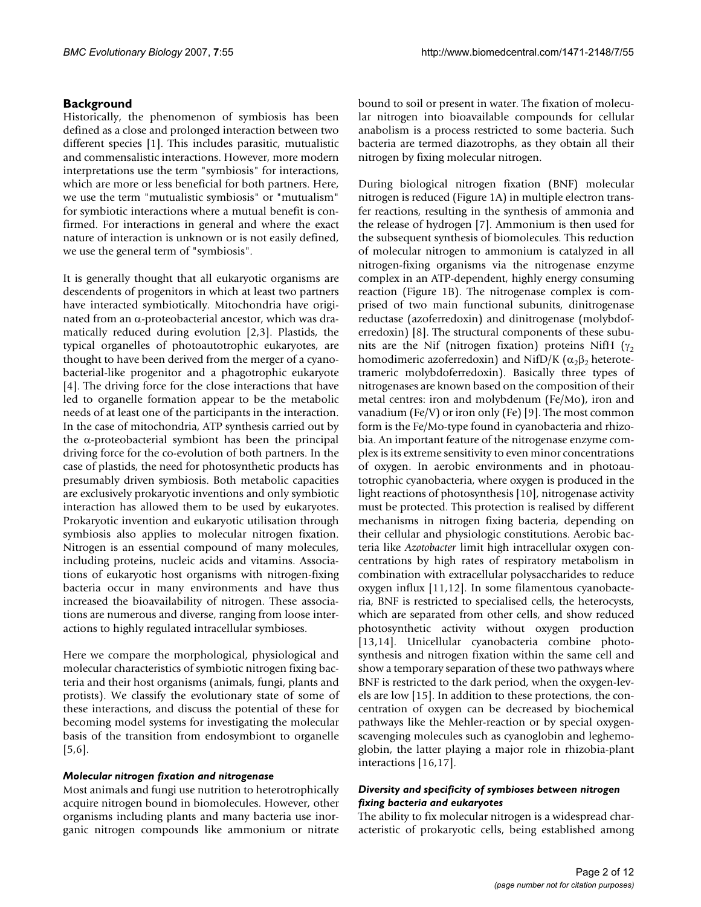# **Background**

Historically, the phenomenon of symbiosis has been defined as a close and prolonged interaction between two different species [1]. This includes parasitic, mutualistic and commensalistic interactions. However, more modern interpretations use the term "symbiosis" for interactions, which are more or less beneficial for both partners. Here, we use the term "mutualistic symbiosis" or "mutualism" for symbiotic interactions where a mutual benefit is confirmed. For interactions in general and where the exact nature of interaction is unknown or is not easily defined, we use the general term of "symbiosis".

It is generally thought that all eukaryotic organisms are descendents of progenitors in which at least two partners have interacted symbiotically. Mitochondria have originated from an α-proteobacterial ancestor, which was dramatically reduced during evolution [2,3]. Plastids, the typical organelles of photoautotrophic eukaryotes, are thought to have been derived from the merger of a cyanobacterial-like progenitor and a phagotrophic eukaryote [4]. The driving force for the close interactions that have led to organelle formation appear to be the metabolic needs of at least one of the participants in the interaction. In the case of mitochondria, ATP synthesis carried out by the α-proteobacterial symbiont has been the principal driving force for the co-evolution of both partners. In the case of plastids, the need for photosynthetic products has presumably driven symbiosis. Both metabolic capacities are exclusively prokaryotic inventions and only symbiotic interaction has allowed them to be used by eukaryotes. Prokaryotic invention and eukaryotic utilisation through symbiosis also applies to molecular nitrogen fixation. Nitrogen is an essential compound of many molecules, including proteins, nucleic acids and vitamins. Associations of eukaryotic host organisms with nitrogen-fixing bacteria occur in many environments and have thus increased the bioavailability of nitrogen. These associations are numerous and diverse, ranging from loose interactions to highly regulated intracellular symbioses.

Here we compare the morphological, physiological and molecular characteristics of symbiotic nitrogen fixing bacteria and their host organisms (animals, fungi, plants and protists). We classify the evolutionary state of some of these interactions, and discuss the potential of these for becoming model systems for investigating the molecular basis of the transition from endosymbiont to organelle [5,6].

# *Molecular nitrogen fixation and nitrogenase*

Most animals and fungi use nutrition to heterotrophically acquire nitrogen bound in biomolecules. However, other organisms including plants and many bacteria use inorganic nitrogen compounds like ammonium or nitrate

bound to soil or present in water. The fixation of molecular nitrogen into bioavailable compounds for cellular anabolism is a process restricted to some bacteria. Such bacteria are termed diazotrophs, as they obtain all their nitrogen by fixing molecular nitrogen.

During biological nitrogen fixation (BNF) molecular nitrogen is reduced (Figure 1A) in multiple electron transfer reactions, resulting in the synthesis of ammonia and the release of hydrogen [7]. Ammonium is then used for the subsequent synthesis of biomolecules. This reduction of molecular nitrogen to ammonium is catalyzed in all nitrogen-fixing organisms via the nitrogenase enzyme complex in an ATP-dependent, highly energy consuming reaction (Figure 1B). The nitrogenase complex is comprised of two main functional subunits, dinitrogenase reductase (azoferredoxin) and dinitrogenase (molybdoferredoxin) [8]. The structural components of these subunits are the Nif (nitrogen fixation) proteins NifH ( $\gamma$ , homodimeric azoferredoxin) and NifD/K  $(\alpha_2\beta_2)$  heterotetrameric molybdoferredoxin). Basically three types of nitrogenases are known based on the composition of their metal centres: iron and molybdenum (Fe/Mo), iron and vanadium (Fe/V) or iron only (Fe) [9]. The most common form is the Fe/Mo-type found in cyanobacteria and rhizobia. An important feature of the nitrogenase enzyme complex is its extreme sensitivity to even minor concentrations of oxygen. In aerobic environments and in photoautotrophic cyanobacteria, where oxygen is produced in the light reactions of photosynthesis [10], nitrogenase activity must be protected. This protection is realised by different mechanisms in nitrogen fixing bacteria, depending on their cellular and physiologic constitutions. Aerobic bacteria like *Azotobacter* limit high intracellular oxygen concentrations by high rates of respiratory metabolism in combination with extracellular polysaccharides to reduce oxygen influx [11,12]. In some filamentous cyanobacteria, BNF is restricted to specialised cells, the heterocysts, which are separated from other cells, and show reduced photosynthetic activity without oxygen production [13,14]. Unicellular cyanobacteria combine photosynthesis and nitrogen fixation within the same cell and show a temporary separation of these two pathways where BNF is restricted to the dark period, when the oxygen-levels are low [15]. In addition to these protections, the concentration of oxygen can be decreased by biochemical pathways like the Mehler-reaction or by special oxygenscavenging molecules such as cyanoglobin and leghemoglobin, the latter playing a major role in rhizobia-plant interactions [16,17].

# *Diversity and specificity of symbioses between nitrogen fixing bacteria and eukaryotes*

The ability to fix molecular nitrogen is a widespread characteristic of prokaryotic cells, being established among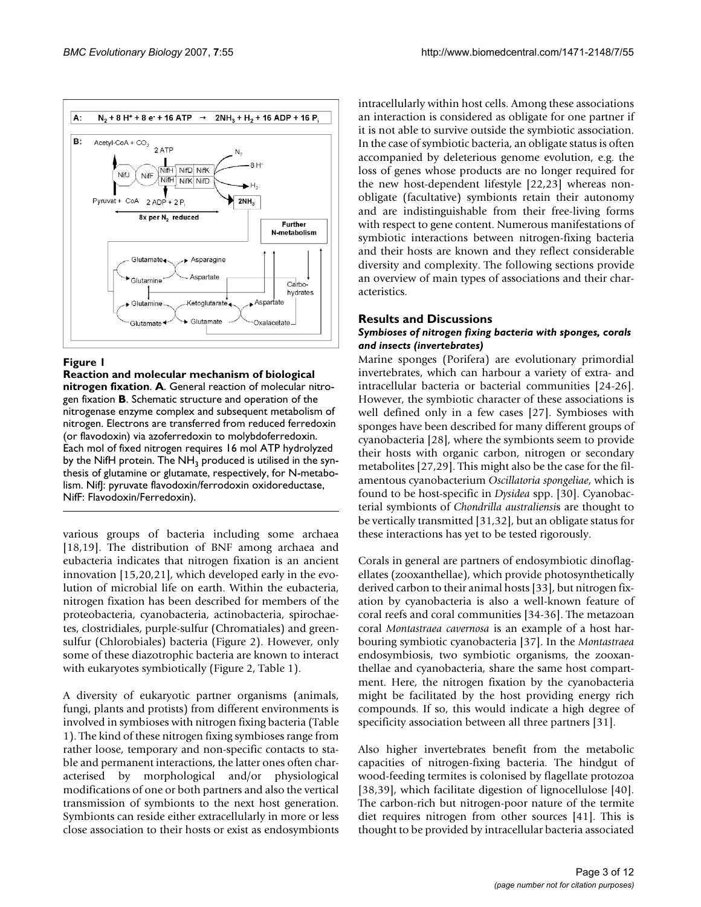

# **Figure 1**

**Reaction and molecular mechanism of biological nitrogen fixation**. **A**. General reaction of molecular nitrogen fixation **B**. Schematic structure and operation of the nitrogenase enzyme complex and subsequent metabolism of nitrogen. Electrons are transferred from reduced ferredoxin (or flavodoxin) via azoferredoxin to molybdoferredoxin. Each mol of fixed nitrogen requires 16 mol ATP hydrolyzed by the NifH protein. The  $NH<sub>3</sub>$  produced is utilised in the synthesis of glutamine or glutamate, respectively, for N-metabolism. NifJ: pyruvate flavodoxin/ferrodoxin oxidoreductase, NifF: Flavodoxin/Ferredoxin).

various groups of bacteria including some archaea [18,19]. The distribution of BNF among archaea and eubacteria indicates that nitrogen fixation is an ancient innovation [15,20,[21](#page-9-0)], which developed early in the evolution of microbial life on earth. Within the eubacteria, nitrogen fixation has been described for members of the proteobacteria, cyanobacteria, actinobacteria, spirochaetes, clostridiales, purple-sulfur (Chromatiales) and greensulfur (Chlorobiales) bacteria (Figure 2). However, only some of these diazotrophic bacteria are known to interact with eukaryotes symbiotically (Figure 2, Table 1).

A diversity of eukaryotic partner organisms (animals, fungi, plants and protists) from different environments is involved in symbioses with nitrogen fixing bacteria (Table 1). The kind of these nitrogen fixing symbioses range from rather loose, temporary and non-specific contacts to stable and permanent interactions, the latter ones often characterised by morphological and/or physiological modifications of one or both partners and also the vertical transmission of symbionts to the next host generation. Symbionts can reside either extracellularly in more or less close association to their hosts or exist as endosymbionts

intracellularly within host cells. Among these associations an interaction is considered as obligate for one partner if it is not able to survive outside the symbiotic association. In the case of symbiotic bacteria, an obligate status is often accompanied by deleterious genome evolution, e.g. the loss of genes whose products are no longer required for the new host-dependent lifestyle [22,23] whereas nonobligate (facultative) symbionts retain their autonomy and are indistinguishable from their free-living forms with respect to gene content. Numerous manifestations of symbiotic interactions between nitrogen-fixing bacteria and their hosts are known and they reflect considerable diversity and complexity. The following sections provide an overview of main types of associations and their characteristics.

# **Results and Discussions** *Symbioses of nitrogen fixing bacteria with sponges, corals and insects (invertebrates)*

Marine sponges (Porifera) are evolutionary primordial invertebrates, which can harbour a variety of extra- and intracellular bacteria or bacterial communities [24-26]. However, the symbiotic character of these associations is well defined only in a few cases [27]. Symbioses with sponges have been described for many different groups of cyanobacteria [28], where the symbionts seem to provide their hosts with organic carbon, nitrogen or secondary metabolites [27,29]. This might also be the case for the filamentous cyanobacterium *Oscillatoria spongeliae*, which is found to be host-specific in *Dysidea* spp. [30]. Cyanobacterial symbionts of *Chondrilla australiensi*s are thought to be vertically transmitted [31,32], but an obligate status for these interactions has yet to be tested rigorously.

Corals in general are partners of endosymbiotic dinoflagellates (zooxanthellae), which provide photosynthetically derived carbon to their animal hosts [33], but nitrogen fixation by cyanobacteria is also a well-known feature of coral reefs and coral communities [34-36]. The metazoan coral *Montastraea cavernosa* is an example of a host harbouring symbiotic cyanobacteria [37]. In the *Montastraea* endosymbiosis, two symbiotic organisms, the zooxanthellae and cyanobacteria, share the same host compartment. Here, the nitrogen fixation by the cyanobacteria might be facilitated by the host providing energy rich compounds. If so, this would indicate a high degree of specificity association between all three partners [31].

Also higher invertebrates benefit from the metabolic capacities of nitrogen-fixing bacteria. The hindgut of wood-feeding termites is colonised by flagellate protozoa [38,39], which facilitate digestion of lignocellulose [40]. The carbon-rich but nitrogen-poor nature of the termite diet requires nitrogen from other sources [41]. This is thought to be provided by intracellular bacteria associated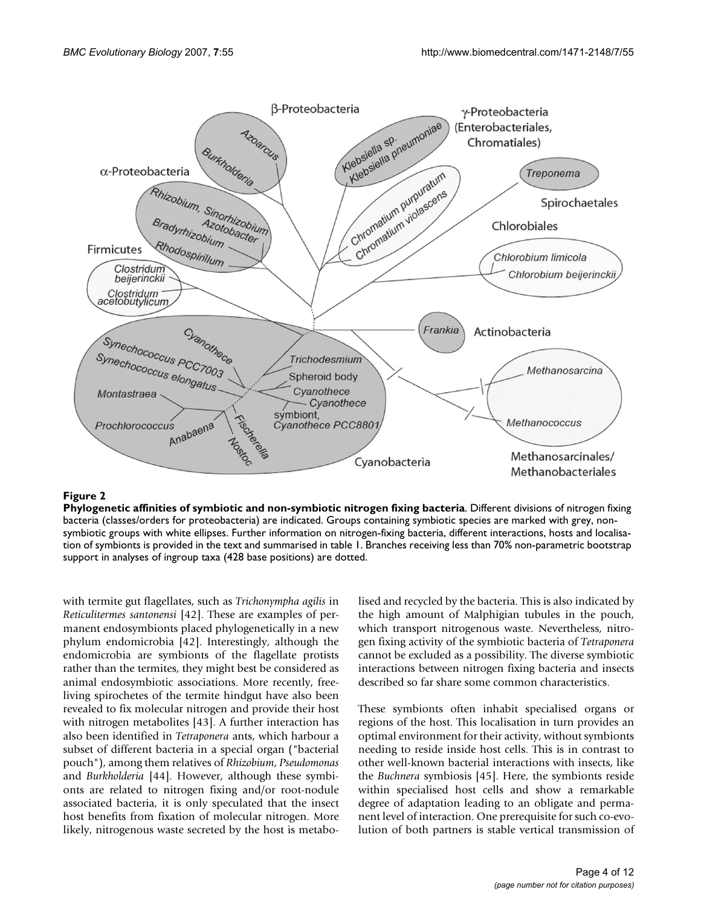

# **Figure 2**

**Phylogenetic affinities of symbiotic and non-symbiotic nitrogen fixing bacteria**. Different divisions of nitrogen fixing bacteria (classes/orders for proteobacteria) are indicated. Groups containing symbiotic species are marked with grey, nonsymbiotic groups with white ellipses. Further information on nitrogen-fixing bacteria, different interactions, hosts and localisation of symbionts is provided in the text and summarised in table 1. Branches receiving less than 70% non-parametric bootstrap support in analyses of ingroup taxa (428 base positions) are dotted.

with termite gut flagellates, such as *Trichonympha agilis* in *Reticulitermes santonensi* [42]. These are examples of permanent endosymbionts placed phylogenetically in a new phylum endomicrobia [42]. Interestingly, although the endomicrobia are symbionts of the flagellate protists rather than the termites, they might best be considered as animal endosymbiotic associations. More recently, freeliving spirochetes of the termite hindgut have also been revealed to fix molecular nitrogen and provide their host with nitrogen metabolites [43]. A further interaction has also been identified in *Tetraponera* ants, which harbour a subset of different bacteria in a special organ ("bacterial pouch"), among them relatives of *Rhizobium*, *Pseudomonas* and *Burkholderia* [44]. However, although these symbionts are related to nitrogen fixing and/or root-nodule associated bacteria, it is only speculated that the insect host benefits from fixation of molecular nitrogen. More likely, nitrogenous waste secreted by the host is metabolised and recycled by the bacteria. This is also indicated by the high amount of Malphigian tubules in the pouch, which transport nitrogenous waste. Nevertheless, nitrogen fixing activity of the symbiotic bacteria of *Tetraponera* cannot be excluded as a possibility. The diverse symbiotic interactions between nitrogen fixing bacteria and insects described so far share some common characteristics.

These symbionts often inhabit specialised organs or regions of the host. This localisation in turn provides an optimal environment for their activity, without symbionts needing to reside inside host cells. This is in contrast to other well-known bacterial interactions with insects, like the *Buchnera* symbiosis [45]. Here, the symbionts reside within specialised host cells and show a remarkable degree of adaptation leading to an obligate and permanent level of interaction. One prerequisite for such co-evolution of both partners is stable vertical transmission of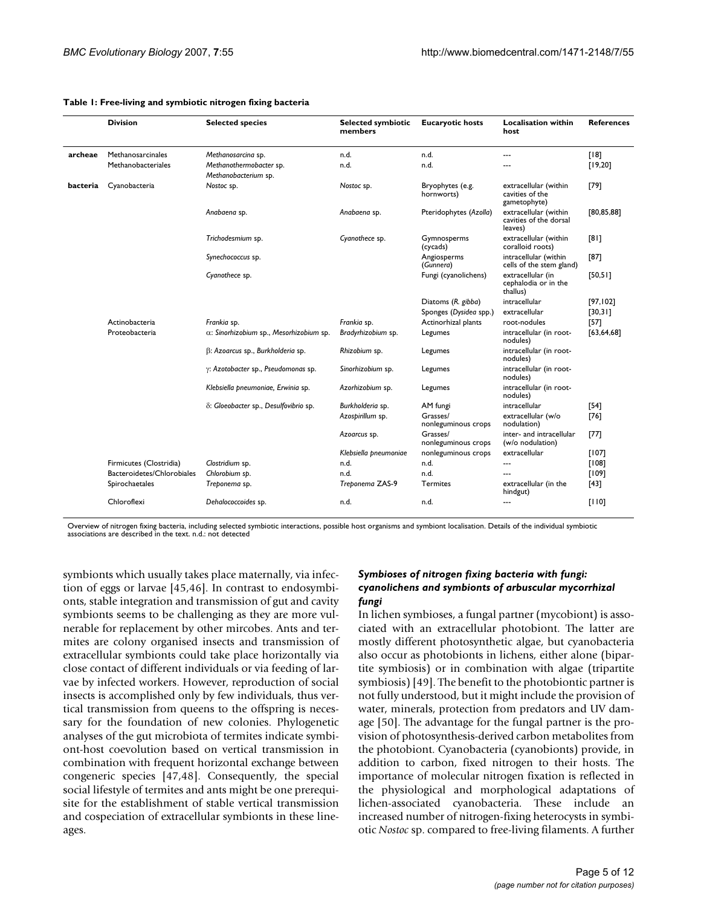|          | <b>Division</b>            | <b>Selected species</b>                         | <b>Selected symbiotic</b><br>members | <b>Eucaryotic hosts</b>         | <b>Localisation within</b><br>host                         | <b>References</b> |
|----------|----------------------------|-------------------------------------------------|--------------------------------------|---------------------------------|------------------------------------------------------------|-------------------|
| archeae  | Methanosarcinales          | Methanosarcina sp.                              | n.d.                                 | n.d.                            | ---                                                        | [18]              |
|          | Methanobacteriales         | Methanothermobacter sp.<br>Methanobacterium sp. | n.d.                                 | n.d.                            | ---                                                        | [19, 20]          |
| bacteria | Cyanobacteria              | Nostoc sp.                                      | Nostoc sp.                           | Bryophytes (e.g.<br>hornworts)  | extracellular (within<br>cavities of the<br>gametophyte)   | $[79]$            |
|          |                            | Anabaena sp.                                    | Anabaena sp.                         | Pteridophytes (Azolla)          | extracellular (within<br>cavities of the dorsal<br>leaves) | [80, 85, 88]      |
|          |                            | Trichodesmium sp.                               | Cyanothece sp.                       | Gymnosperms<br>(cycads)         | extracellular (within<br>coralloid roots)                  | [8]               |
|          |                            | Synechococcus sp.                               |                                      | Angiosperms<br>(Gunnera)        | intracellular (within<br>cells of the stem gland)          | $[87]$            |
|          |                            | Cyanothece sp.                                  |                                      | Fungi (cyanolichens)            | extracellular (in<br>cephalodia or in the<br>thallus)      | [50, 51]          |
|          |                            |                                                 |                                      | Diatoms (R. gibba)              | intracellular                                              | [97, 102]         |
|          |                            |                                                 |                                      | Sponges (Dysidea spp.)          | extracellular                                              | [30,31]           |
|          | Actinobacteria             | Frankia sp.                                     | Frankia sp.                          | Actinorhizal plants             | root-nodules                                               | [57]              |
|          | Proteobacteria             | $\alpha$ : Sinorhizobium sp., Mesorhizobium sp. | Bradyrhizobium sp.                   | Legumes                         | intracellular (in root-<br>nodules)                        | [63, 64, 68]      |
|          |                            | β: Azoarcus sp., Burkholderia sp.               | Rhizobium sp.                        | Legumes                         | intracellular (in root-<br>nodules)                        |                   |
|          |                            | y: Azotobacter sp., Pseudomonas sp.             | Sinorhizobium sp.                    | Legumes                         | intracellular (in root-<br>nodules)                        |                   |
|          |                            | Klebsiella pneumoniae, Erwinia sp.              | Azorhizobium sp.                     | Legumes                         | intracellular (in root-<br>nodules)                        |                   |
|          |                            | δ: Gloeobacter sp., Desulfovibrio sp.           | Burkholderia sp.                     | AM fungi                        | intracellular                                              | $[54]$            |
|          |                            |                                                 | Azospirillum sp.                     | Grasses/<br>nonleguminous crops | extracellular (w/o<br>nodulation)                          | $[76]$            |
|          |                            |                                                 | Azoarcus sp.                         | Grasses/<br>nonleguminous crops | inter- and intracellular<br>(w/o nodulation)               | $[77]$            |
|          |                            |                                                 | Klebsiella pneumoniae                | nonleguminous crops             | extracellular                                              | [107]             |
|          | Firmicutes (Clostridia)    | Clostridium sp.                                 | n.d.                                 | n.d.                            | ---                                                        | [108]             |
|          | Bacteroidetes/Chlorobiales | Chlorobium sp.                                  | n.d.                                 | n.d.                            |                                                            | [109]             |
|          | Spirochaetales             | Treponema sp.                                   | Treponema ZAS-9                      | <b>Termites</b>                 | extracellular (in the<br>hindgut)                          | $[43]$            |
|          | Chloroflexi                | Dehalococcoides sp.                             | n.d.                                 | n.d.                            | ---                                                        | [110]             |

#### **Table 1: Free-living and symbiotic nitrogen fixing bacteria**

Overview of nitrogen fixing bacteria, including selected symbiotic interactions, possible host organisms and symbiont localisation. Details of the individual symbiotic associations are described in the text. n.d.: not detected

symbionts which usually takes place maternally, via infection of eggs or larvae [45,46]. In contrast to endosymbionts, stable integration and transmission of gut and cavity symbionts seems to be challenging as they are more vulnerable for replacement by other mircobes. Ants and termites are colony organised insects and transmission of extracellular symbionts could take place horizontally via close contact of different individuals or via feeding of larvae by infected workers. However, reproduction of social insects is accomplished only by few individuals, thus vertical transmission from queens to the offspring is necessary for the foundation of new colonies. Phylogenetic analyses of the gut microbiota of termites indicate symbiont-host coevolution based on vertical transmission in combination with frequent horizontal exchange between congeneric species [47,48]. Consequently, the special social lifestyle of termites and ants might be one prerequisite for the establishment of stable vertical transmission and cospeciation of extracellular symbionts in these lineages.

### *Symbioses of nitrogen fixing bacteria with fungi: cyanolichens and symbionts of arbuscular mycorrhizal fungi*

In lichen symbioses, a fungal partner (mycobiont) is associated with an extracellular photobiont. The latter are mostly different photosynthetic algae, but cyanobacteria also occur as photobionts in lichens, either alone (bipartite symbiosis) or in combination with algae (tripartite symbiosis) [49]. The benefit to the photobiontic partner is not fully understood, but it might include the provision of water, minerals, protection from predators and UV damage [50]. The advantage for the fungal partner is the provision of photosynthesis-derived carbon metabolites from the photobiont. Cyanobacteria (cyanobionts) provide, in addition to carbon, fixed nitrogen to their hosts. The importance of molecular nitrogen fixation is reflected in the physiological and morphological adaptations of lichen-associated cyanobacteria. These include an increased number of nitrogen-fixing heterocysts in symbiotic *Nostoc* sp. compared to free-living filaments. A further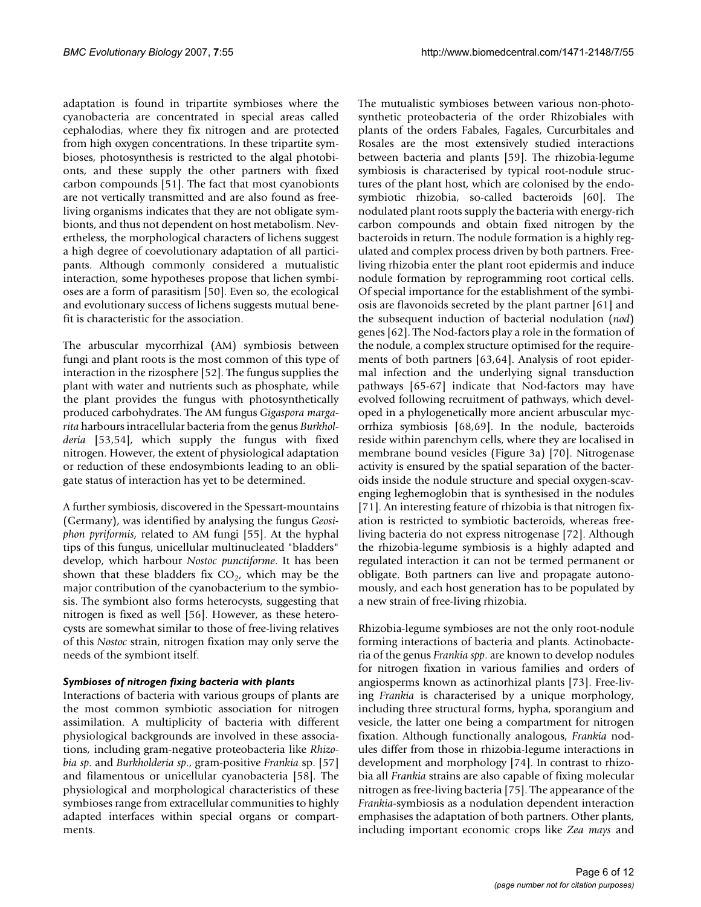adaptation is found in tripartite symbioses where the cyanobacteria are concentrated in special areas called cephalodias, where they fix nitrogen and are protected from high oxygen concentrations. In these tripartite symbioses, photosynthesis is restricted to the algal photobionts, and these supply the other partners with fixed carbon compounds [51]. The fact that most cyanobionts are not vertically transmitted and are also found as freeliving organisms indicates that they are not obligate symbionts, and thus not dependent on host metabolism. Nevertheless, the morphological characters of lichens suggest a high degree of coevolutionary adaptation of all participants. Although commonly considered a mutualistic interaction, some hypotheses propose that lichen symbioses are a form of parasitism [50]. Even so, the ecological and evolutionary success of lichens suggests mutual benefit is characteristic for the association.

The arbuscular mycorrhizal (AM) symbiosis between fungi and plant roots is the most common of this type of interaction in the rizosphere [52]. The fungus supplies the plant with water and nutrients such as phosphate, while the plant provides the fungus with photosynthetically produced carbohydrates. The AM fungus *Gigaspora margarita* harbours intracellular bacteria from the genus *Burkholderia* [53,54], which supply the fungus with fixed nitrogen. However, the extent of physiological adaptation or reduction of these endosymbionts leading to an obligate status of interaction has yet to be determined.

A further symbiosis, discovered in the Spessart-mountains (Germany), was identified by analysing the fungus *Geosiphon pyriformis*, related to AM fungi [55]. At the hyphal tips of this fungus, unicellular multinucleated "bladders" develop, which harbour *Nostoc punctiforme*. It has been shown that these bladders fix  $CO<sub>2</sub>$ , which may be the major contribution of the cyanobacterium to the symbiosis. The symbiont also forms heterocysts, suggesting that nitrogen is fixed as well [56]. However, as these heterocysts are somewhat similar to those of free-living relatives of this *Nostoc* strain, nitrogen fixation may only serve the needs of the symbiont itself.

#### *Symbioses of nitrogen fixing bacteria with plants*

Interactions of bacteria with various groups of plants are the most common symbiotic association for nitrogen assimilation. A multiplicity of bacteria with different physiological backgrounds are involved in these associations, including gram-negative proteobacteria like *Rhizobia sp*. and *Burkholderia sp*., gram-positive *Frankia* sp. [57] and filamentous or unicellular cyanobacteria [58]. The physiological and morphological characteristics of these symbioses range from extracellular communities to highly adapted interfaces within special organs or compartments.

The mutualistic symbioses between various non-photosynthetic proteobacteria of the order Rhizobiales with plants of the orders Fabales, Fagales, Curcurbitales and Rosales are the most extensively studied interactions between bacteria and plants [59]. The rhizobia-legume symbiosis is characterised by typical root-nodule structures of the plant host, which are colonised by the endosymbiotic rhizobia, so-called bacteroids [60]. The nodulated plant roots supply the bacteria with energy-rich carbon compounds and obtain fixed nitrogen by the bacteroids in return. The nodule formation is a highly regulated and complex process driven by both partners. Freeliving rhizobia enter the plant root epidermis and induce nodule formation by reprogramming root cortical cells. Of special importance for the establishment of the symbiosis are flavonoids secreted by the plant partner [61] and the subsequent induction of bacterial nodulation (*nod*) genes [62]. The Nod-factors play a role in the formation of the nodule, a complex structure optimised for the requirements of both partners [63,64]. Analysis of root epidermal infection and the underlying signal transduction pathways [65-67] indicate that Nod-factors may have evolved following recruitment of pathways, which developed in a phylogenetically more ancient arbuscular mycorrhiza symbiosis [68,69]. In the nodule, bacteroids reside within parenchym cells, where they are localised in membrane bound vesicles (Figure 3a) [70]. Nitrogenase activity is ensured by the spatial separation of the bacteroids inside the nodule structure and special oxygen-scavenging leghemoglobin that is synthesised in the nodules [71]. An interesting feature of rhizobia is that nitrogen fixation is restricted to symbiotic bacteroids, whereas freeliving bacteria do not express nitrogenase [72]. Although the rhizobia-legume symbiosis is a highly adapted and regulated interaction it can not be termed permanent or obligate. Both partners can live and propagate autonomously, and each host generation has to be populated by a new strain of free-living rhizobia.

Rhizobia-legume symbioses are not the only root-nodule forming interactions of bacteria and plants. Actinobacteria of the genus *Frankia spp*. are known to develop nodules for nitrogen fixation in various families and orders of angiosperms known as actinorhizal plants [73]. Free-living *Frankia* is characterised by a unique morphology, including three structural forms, hypha, sporangium and vesicle, the latter one being a compartment for nitrogen fixation. Although functionally analogous, *Frankia* nodules differ from those in rhizobia-legume interactions in development and morphology [\[74\]](#page-10-0). In contrast to rhizobia all *Frankia* strains are also capable of fixing molecular nitrogen as free-living bacteria [75]. The appearance of the *Frankia*-symbiosis as a nodulation dependent interaction emphasises the adaptation of both partners. Other plants, including important economic crops like *Zea mays* and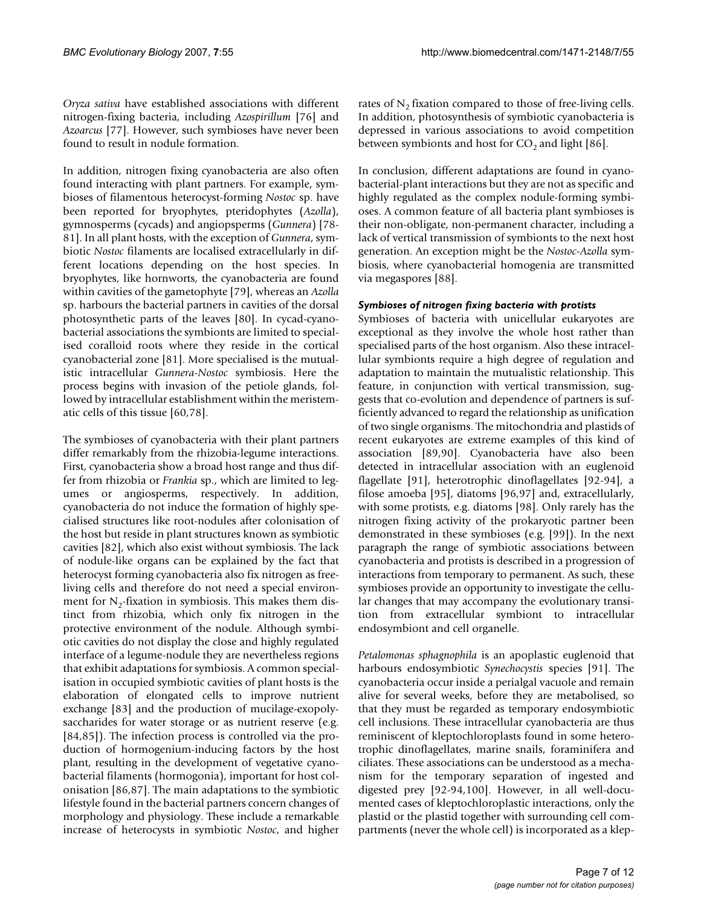*Oryza sativa* have established associations with different nitrogen-fixing bacteria, including *Azospirillum* [76] and *Azoarcus* [77]. However, such symbioses have never been found to result in nodule formation.

In addition, nitrogen fixing cyanobacteria are also often found interacting with plant partners. For example, symbioses of filamentous heterocyst-forming *Nostoc* sp. have been reported for bryophytes, pteridophytes (*Azolla*), gymnosperms (cycads) and angiopsperms (*Gunnera*) [78- 81]. In all plant hosts, with the exception of *Gunnera*, symbiotic *Nostoc* filaments are localised extracellularly in different locations depending on the host species. In bryophytes, like hornworts, the cyanobacteria are found within cavities of the gametophyte [79], whereas an *Azolla* sp. harbours the bacterial partners in cavities of the dorsal photosynthetic parts of the leaves [80]. In cycad-cyanobacterial associations the symbionts are limited to specialised coralloid roots where they reside in the cortical cyanobacterial zone [81]. More specialised is the mutualistic intracellular *Gunnera*-*Nostoc* symbiosis. Here the process begins with invasion of the petiole glands, followed by intracellular establishment within the meristematic cells of this tissue [60,78].

The symbioses of cyanobacteria with their plant partners differ remarkably from the rhizobia-legume interactions. First, cyanobacteria show a broad host range and thus differ from rhizobia or *Frankia* sp., which are limited to legumes or angiosperms, respectively. In addition, cyanobacteria do not induce the formation of highly specialised structures like root-nodules after colonisation of the host but reside in plant structures known as symbiotic cavities [82], which also exist without symbiosis. The lack of nodule-like organs can be explained by the fact that heterocyst forming cyanobacteria also fix nitrogen as freeliving cells and therefore do not need a special environment for  $N<sub>2</sub>$ -fixation in symbiosis. This makes them distinct from rhizobia, which only fix nitrogen in the protective environment of the nodule. Although symbiotic cavities do not display the close and highly regulated interface of a legume-nodule they are nevertheless regions that exhibit adaptations for symbiosis. A common specialisation in occupied symbiotic cavities of plant hosts is the elaboration of elongated cells to improve nutrient exchange [83] and the production of mucilage-exopolysaccharides for water storage or as nutrient reserve (e.g. [84,85]). The infection process is controlled via the production of hormogenium-inducing factors by the host plant, resulting in the development of vegetative cyanobacterial filaments (hormogonia), important for host colonisation [86,87]. The main adaptations to the symbiotic lifestyle found in the bacterial partners concern changes of morphology and physiology. These include a remarkable increase of heterocysts in symbiotic *Nostoc*, and higher rates of  $N<sub>2</sub>$  fixation compared to those of free-living cells. In addition, photosynthesis of symbiotic cyanobacteria is depressed in various associations to avoid competition between symbionts and host for  $CO<sub>2</sub>$  and light [86].

In conclusion, different adaptations are found in cyanobacterial-plant interactions but they are not as specific and highly regulated as the complex nodule-forming symbioses. A common feature of all bacteria plant symbioses is their non-obligate, non-permanent character, including a lack of vertical transmission of symbionts to the next host generation. An exception might be the *Nostoc*-*Azolla* symbiosis, where cyanobacterial homogenia are transmitted via megaspores [88].

# *Symbioses of nitrogen fixing bacteria with protists*

Symbioses of bacteria with unicellular eukaryotes are exceptional as they involve the whole host rather than specialised parts of the host organism. Also these intracellular symbionts require a high degree of regulation and adaptation to maintain the mutualistic relationship. This feature, in conjunction with vertical transmission, suggests that co-evolution and dependence of partners is sufficiently advanced to regard the relationship as unification of two single organisms. The mitochondria and plastids of recent eukaryotes are extreme examples of this kind of association [89,90]. Cyanobacteria have also been detected in intracellular association with an euglenoid flagellate [91], heterotrophic dinoflagellates [92-94], a filose amoeba [95], diatoms [96,97] and, extracellularly, with some protists, e.g. diatoms [98]. Only rarely has the nitrogen fixing activity of the prokaryotic partner been demonstrated in these symbioses (e.g. [99]). In the next paragraph the range of symbiotic associations between cyanobacteria and protists is described in a progression of interactions from temporary to permanent. As such, these symbioses provide an opportunity to investigate the cellular changes that may accompany the evolutionary transition from extracellular symbiont to intracellular endosymbiont and cell organelle.

*Petalomonas sphagnophila* is an apoplastic euglenoid that harbours endosymbiotic *Synechocystis* species [91]. The cyanobacteria occur inside a perialgal vacuole and remain alive for several weeks, before they are metabolised, so that they must be regarded as temporary endosymbiotic cell inclusions. These intracellular cyanobacteria are thus reminiscent of kleptochloroplasts found in some heterotrophic dinoflagellates, marine snails, foraminifera and ciliates. These associations can be understood as a mechanism for the temporary separation of ingested and digested prey [92-94,100]. However, in all well-documented cases of kleptochloroplastic interactions, only the plastid or the plastid together with surrounding cell compartments (never the whole cell) is incorporated as a klep-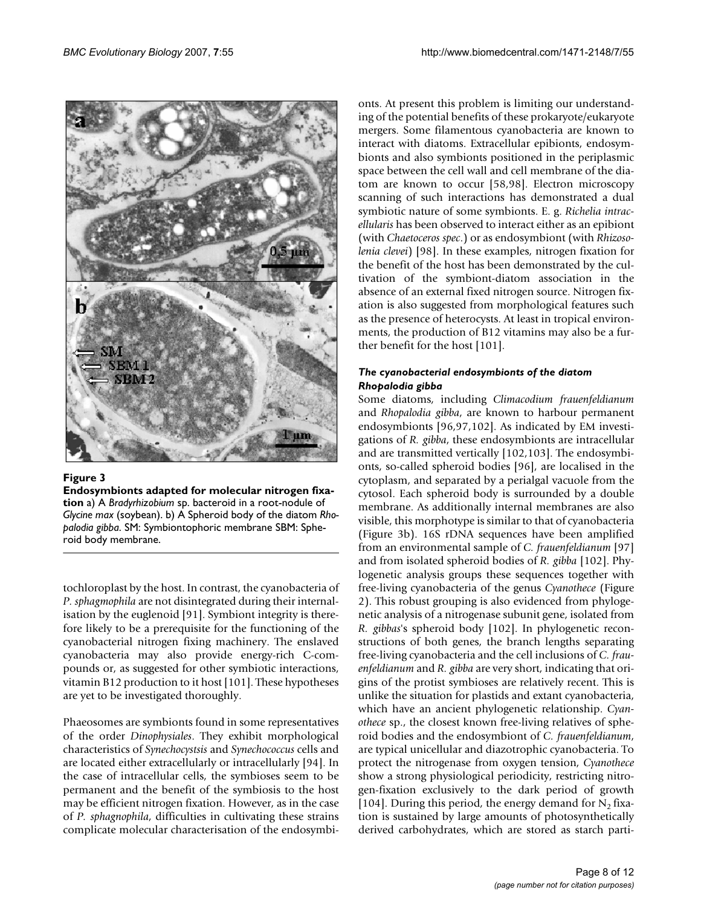

# **Figure 3**

**Endosymbionts adapted for molecular nitrogen fixation** a) A *Bradyrhizobium* sp. bacteroid in a root-nodule of *Glycine max* (soybean). b) A Spheroid body of the diatom *Rhopalodia gibba*. SM: Symbiontophoric membrane SBM: Spheroid body membrane.

tochloroplast by the host. In contrast, the cyanobacteria of *P. sphagmophila* are not disintegrated during their internalisation by the euglenoid [91]. Symbiont integrity is therefore likely to be a prerequisite for the functioning of the cyanobacterial nitrogen fixing machinery. The enslaved cyanobacteria may also provide energy-rich C-compounds or, as suggested for other symbiotic interactions, vitamin B12 production to it host [101]. These hypotheses are yet to be investigated thoroughly.

Phaeosomes are symbionts found in some representatives of the order *Dinophysiales*. They exhibit morphological characteristics of *Synechocystsis* and *Synechococcus* cells and are located either extracellularly or intracellularly [94]. In the case of intracellular cells, the symbioses seem to be permanent and the benefit of the symbiosis to the host may be efficient nitrogen fixation. However, as in the case of *P. sphagnophila*, difficulties in cultivating these strains complicate molecular characterisation of the endosymbionts. At present this problem is limiting our understanding of the potential benefits of these prokaryote/eukaryote mergers. Some filamentous cyanobacteria are known to interact with diatoms. Extracellular epibionts, endosymbionts and also symbionts positioned in the periplasmic space between the cell wall and cell membrane of the diatom are known to occur [58,98]. Electron microscopy scanning of such interactions has demonstrated a dual symbiotic nature of some symbionts. E. g. *Richelia intracellularis* has been observed to interact either as an epibiont (with *Chaetoceros spec*.) or as endosymbiont (with *Rhizosolenia clevei*) [98]. In these examples, nitrogen fixation for the benefit of the host has been demonstrated by the cultivation of the symbiont-diatom association in the absence of an external fixed nitrogen source. Nitrogen fixation is also suggested from morphological features such as the presence of heterocysts. At least in tropical environments, the production of B12 vitamins may also be a further benefit for the host [101].

# *The cyanobacterial endosymbionts of the diatom Rhopalodia gibba*

Some diatoms, including *Climacodium frauenfeldianum* and *Rhopalodia gibba*, are known to harbour permanent endosymbionts [96,97,102]. As indicated by EM investigations of *R. gibba*, these endosymbionts are intracellular and are transmitted vertically [102,103]. The endosymbionts, so-called spheroid bodies [96], are localised in the cytoplasm, and separated by a perialgal vacuole from the cytosol. Each spheroid body is surrounded by a double membrane. As additionally internal membranes are also visible, this morphotype is similar to that of cyanobacteria (Figure 3b). 16S rDNA sequences have been amplified from an environmental sample of *C. frauenfeldianum* [97] and from isolated spheroid bodies of *R. gibba* [102]. Phylogenetic analysis groups these sequences together with free-living cyanobacteria of the genus *Cyanothece* (Figure 2). This robust grouping is also evidenced from phylogenetic analysis of a nitrogenase subunit gene, isolated from *R. gibbas*'s spheroid body [102]. In phylogenetic reconstructions of both genes, the branch lengths separating free-living cyanobacteria and the cell inclusions of *C. frauenfeldianum* and *R. gibba* are very short, indicating that origins of the protist symbioses are relatively recent. This is unlike the situation for plastids and extant cyanobacteria, which have an ancient phylogenetic relationship. *Cyanothece* sp., the closest known free-living relatives of spheroid bodies and the endosymbiont of *C. frauenfeldianum*, are typical unicellular and diazotrophic cyanobacteria. To protect the nitrogenase from oxygen tension, *Cyanothece* show a strong physiological periodicity, restricting nitrogen-fixation exclusively to the dark period of growth [104]. During this period, the energy demand for  $N<sub>2</sub>$  fixation is sustained by large amounts of photosynthetically derived carbohydrates, which are stored as starch parti-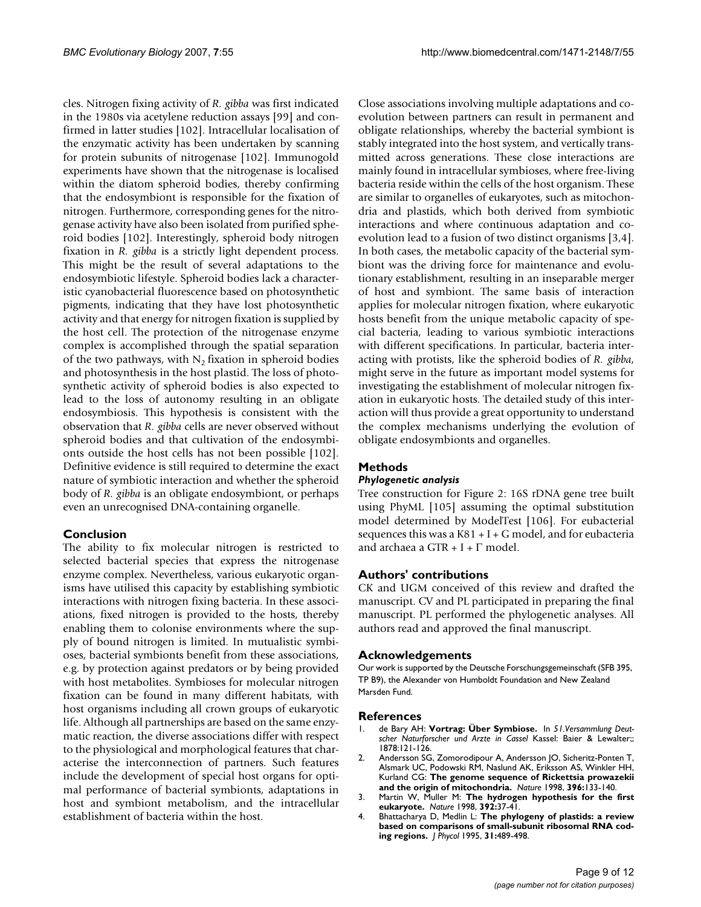cles. Nitrogen fixing activity of *R. gibba* was first indicated in the 1980s via acetylene reduction assays [99] and confirmed in latter studies [102]. Intracellular localisation of the enzymatic activity has been undertaken by scanning for protein subunits of nitrogenase [102]. Immunogold experiments have shown that the nitrogenase is localised within the diatom spheroid bodies, thereby confirming that the endosymbiont is responsible for the fixation of nitrogen. Furthermore, corresponding genes for the nitrogenase activity have also been isolated from purified spheroid bodies [102]. Interestingly, spheroid body nitrogen fixation in *R. gibba* is a strictly light dependent process. This might be the result of several adaptations to the endosymbiotic lifestyle. Spheroid bodies lack a characteristic cyanobacterial fluorescence based on photosynthetic pigments, indicating that they have lost photosynthetic activity and that energy for nitrogen fixation is supplied by the host cell. The protection of the nitrogenase enzyme complex is accomplished through the spatial separation of the two pathways, with  $N_2$  fixation in spheroid bodies and photosynthesis in the host plastid. The loss of photosynthetic activity of spheroid bodies is also expected to lead to the loss of autonomy resulting in an obligate endosymbiosis. This hypothesis is consistent with the observation that *R. gibba* cells are never observed without spheroid bodies and that cultivation of the endosymbionts outside the host cells has not been possible [102]. Definitive evidence is still required to determine the exact nature of symbiotic interaction and whether the spheroid body of *R. gibba* is an obligate endosymbiont, or perhaps even an unrecognised DNA-containing organelle.

# **Conclusion**

The ability to fix molecular nitrogen is restricted to selected bacterial species that express the nitrogenase enzyme complex. Nevertheless, various eukaryotic organisms have utilised this capacity by establishing symbiotic interactions with nitrogen fixing bacteria. In these associations, fixed nitrogen is provided to the hosts, thereby enabling them to colonise environments where the supply of bound nitrogen is limited. In mutualistic symbioses, bacterial symbionts benefit from these associations, e.g. by protection against predators or by being provided with host metabolites. Symbioses for molecular nitrogen fixation can be found in many different habitats, with host organisms including all crown groups of eukaryotic life. Although all partnerships are based on the same enzymatic reaction, the diverse associations differ with respect to the physiological and morphological features that characterise the interconnection of partners. Such features include the development of special host organs for optimal performance of bacterial symbionts, adaptations in host and symbiont metabolism, and the intracellular establishment of bacteria within the host.

Close associations involving multiple adaptations and coevolution between partners can result in permanent and obligate relationships, whereby the bacterial symbiont is stably integrated into the host system, and vertically transmitted across generations. These close interactions are mainly found in intracellular symbioses, where free-living bacteria reside within the cells of the host organism. These are similar to organelles of eukaryotes, such as mitochondria and plastids, which both derived from symbiotic interactions and where continuous adaptation and coevolution lead to a fusion of two distinct organisms [3,4]. In both cases, the metabolic capacity of the bacterial symbiont was the driving force for maintenance and evolutionary establishment, resulting in an inseparable merger of host and symbiont. The same basis of interaction applies for molecular nitrogen fixation, where eukaryotic hosts benefit from the unique metabolic capacity of special bacteria, leading to various symbiotic interactions with different specifications. In particular, bacteria interacting with protists, like the spheroid bodies of *R. gibba*, might serve in the future as important model systems for investigating the establishment of molecular nitrogen fixation in eukaryotic hosts. The detailed study of this interaction will thus provide a great opportunity to understand the complex mechanisms underlying the evolution of obligate endosymbionts and organelles.

# **Methods**

#### *Phylogenetic analysis*

Tree construction for Figure 2: 16S rDNA gene tree built using PhyML [105] assuming the optimal substitution model determined by ModelTest [106]. For eubacterial sequences this was a  $K81 + I + G$  model, and for eubacteria and archaea a GTR + I + Γ model.

# **Authors' contributions**

CK and UGM conceived of this review and drafted the manuscript. CV and PL participated in preparing the final manuscript. PL performed the phylogenetic analyses. All authors read and approved the final manuscript.

# **Acknowledgements**

Our work is supported by the Deutsche Forschungsgemeinschaft (SFB 395, TP B9), the Alexander von Humboldt Foundation and New Zealand Marsden Fund.

#### **References**

- 1. de Bary AH: **Vortrag: Über Symbiose.** In *51.Versammlung Deutscher Naturforscher und Arzte in Cassel* Kassel: Baier & Lewalter;; 1878:121-126.
- 2. Andersson SG, Zomorodipour A, Andersson JO, Sicheritz-Ponten T, Alsmark UC, Podowski RM, Naslund AK, Eriksson AS, Winkler HH, Kurland CG: **[The genome sequence of Rickettsia prowazekii](http://www.ncbi.nlm.nih.gov/entrez/query.fcgi?cmd=Retrieve&db=PubMed&dopt=Abstract&list_uids=9823893) [and the origin of mitochondria.](http://www.ncbi.nlm.nih.gov/entrez/query.fcgi?cmd=Retrieve&db=PubMed&dopt=Abstract&list_uids=9823893)** *Nature* 1998, **396:**133-140.
- 3. Martin W, Muller M: **[The hydrogen hypothesis for the first](http://www.ncbi.nlm.nih.gov/entrez/query.fcgi?cmd=Retrieve&db=PubMed&dopt=Abstract&list_uids=9510246) [eukaryote.](http://www.ncbi.nlm.nih.gov/entrez/query.fcgi?cmd=Retrieve&db=PubMed&dopt=Abstract&list_uids=9510246)** *Nature* 1998, **392:**37-41.
- 4. Bhattacharya D, Medlin L: **The phylogeny of plastids: a review based on comparisons of small-subunit ribosomal RNA coding regions.** *J Phycol* 1995, **31:**489-498.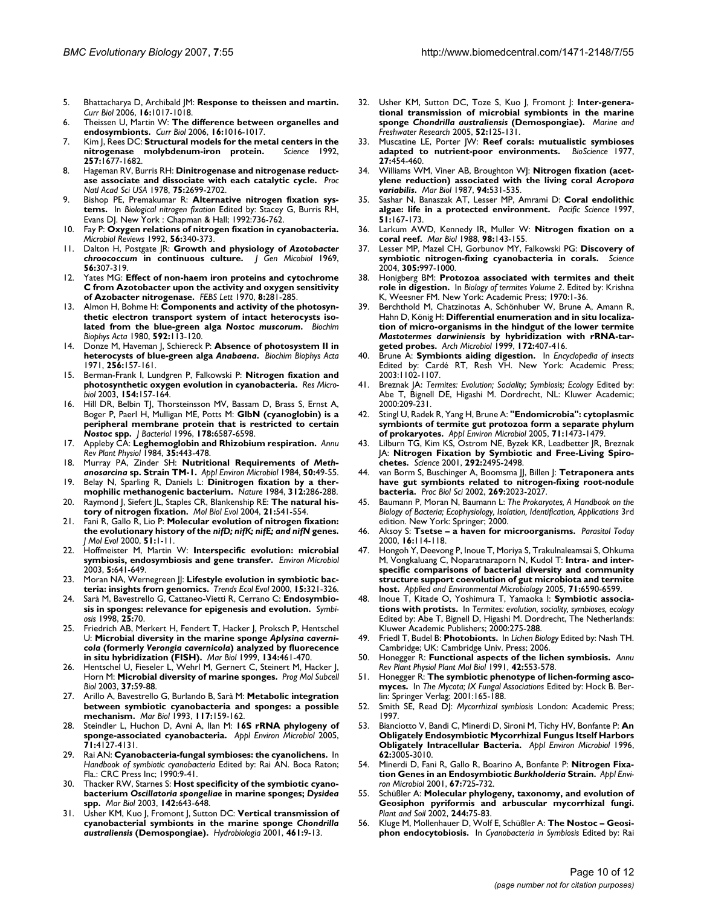- 5. Bhattacharya D, Archibald JM: **Response to theissen and martin.** *Curr Biol* 2006, **16:**1017-1018.
- 6. Theissen U, Martin W: **The difference between organelles and endosymbionts.** *Curr Biol* 2006, **16:**1016-1017.
- 7. Kim J, Rees DC: **[Structural models for the metal centers in the](http://www.ncbi.nlm.nih.gov/entrez/query.fcgi?cmd=Retrieve&db=PubMed&dopt=Abstract&list_uids=1529354) [nitrogenase molybdenum-iron protein.](http://www.ncbi.nlm.nih.gov/entrez/query.fcgi?cmd=Retrieve&db=PubMed&dopt=Abstract&list_uids=1529354)** *Science* 1992, **257:**1677-1682.
- 8. Hageman RV, Burris RH: **[Dinitrogenase and nitrogenase reduct](http://www.ncbi.nlm.nih.gov/entrez/query.fcgi?cmd=Retrieve&db=PubMed&dopt=Abstract&list_uids=275837)[ase associate and dissociate with each catalytic cycle.](http://www.ncbi.nlm.nih.gov/entrez/query.fcgi?cmd=Retrieve&db=PubMed&dopt=Abstract&list_uids=275837)** *Proc Natl Acad Sci USA* 1978, **75:**2699-2702.
- 9. Bishop PE, Premakumar R: **Alternative nitrogen fixation systems.** In *Biological nitrogen fixation* Edited by: Stacey G, Burris RH, Evans DJ. New York : Chapman & Hall; 1992:736-762.
- 10. Fay P: **Oxygen relations of nitrogen fixation in cyanobacteria.** *Microbiol Reviews* 1992, **56:**340-373.
- 11. Dalton H, Postgate JR: **Growth and physiology of** *Azotobacter chroococcum* **in continuous culture.** *J Gen Micobiol* 1969, **56:**307-319.
- 12. Yates MG: **[Effect of non-haem iron proteins and cytochrome](http://www.ncbi.nlm.nih.gov/entrez/query.fcgi?cmd=Retrieve&db=PubMed&dopt=Abstract&list_uids=11947594) [C from Azotobacter upon the activity and oxygen sensitivity](http://www.ncbi.nlm.nih.gov/entrez/query.fcgi?cmd=Retrieve&db=PubMed&dopt=Abstract&list_uids=11947594) [of Azobacter nitrogenase.](http://www.ncbi.nlm.nih.gov/entrez/query.fcgi?cmd=Retrieve&db=PubMed&dopt=Abstract&list_uids=11947594)** *FEBS Lett* 1970, **8:**281-285.
- 13. Almon H, Bohme H: **Components and activity of the photosynthetic electron transport system of intact heterocysts isolated from the blue-green alga** *Nostoc muscorum***[.](http://www.ncbi.nlm.nih.gov/entrez/query.fcgi?cmd=Retrieve&db=PubMed&dopt=Abstract&list_uids=6772215)** *Biochim Biophys Acta* 1980, **592:**113-120.
- 14. Donze M, Haveman J, Schiereck P: **Absence of photosystem II in heterocysts of blue-green alga** *Anabaena***.** *Biochim Biophys Acta* 1971, **256:**157-161.
- 15. Berman-Frank I, Lundgren P, Falkowski P: **[Nitrogen fixation and](http://www.ncbi.nlm.nih.gov/entrez/query.fcgi?cmd=Retrieve&db=PubMed&dopt=Abstract&list_uids=12706503) [photosynthetic oxygen evolution in cyanobacteria.](http://www.ncbi.nlm.nih.gov/entrez/query.fcgi?cmd=Retrieve&db=PubMed&dopt=Abstract&list_uids=12706503)** *Res Microbiol* 2003, **154:**157-164.
- 16. Hill DR, Belbin TJ, Thorsteinsson MV, Bassam D, Brass S, Ernst A, Boger P, Paerl H, Mulligan ME, Potts M: **GlbN (cyanoglobin) is a peripheral membrane protein that is restricted to certain** *Nostoc* **[spp.](http://www.ncbi.nlm.nih.gov/entrez/query.fcgi?cmd=Retrieve&db=PubMed&dopt=Abstract&list_uids=8932316)** *J Bacteriol* 1996, **178:**6587-6598.
- 17. Appleby CA: **Leghemoglobin and Rhizobium respiration.** *Annu Rev Plant Physiol* 1984, **35:**443-478.
- 18. Murray PA, Zinder SH: **Nutritional Requirements of** *Methanosarcina* **sp. Strain TM-1.** *Appl Environ Microbiol* 1984, **50:**49-55.
- 19. Belay N, Sparling R, Daniels L: **[Dinitrogen fixation by a ther](http://www.ncbi.nlm.nih.gov/entrez/query.fcgi?cmd=Retrieve&db=PubMed&dopt=Abstract&list_uids=6504143)[mophilic methanogenic bacterium.](http://www.ncbi.nlm.nih.gov/entrez/query.fcgi?cmd=Retrieve&db=PubMed&dopt=Abstract&list_uids=6504143)** *Nature* 1984, **312:**286-288.
- 20. Raymond J, Siefert JL, Staples CR, Blankenship RE: **[The natural his](http://www.ncbi.nlm.nih.gov/entrez/query.fcgi?cmd=Retrieve&db=PubMed&dopt=Abstract&list_uids=14694078)[tory of nitrogen fixation.](http://www.ncbi.nlm.nih.gov/entrez/query.fcgi?cmd=Retrieve&db=PubMed&dopt=Abstract&list_uids=14694078)** *Mol Biol Evol* 2004, **21:**541-554.
- <span id="page-9-0"></span>21. Fani R, Gallo R, Lio P: **Molecular evolution of nitrogen fixation: the evolutionary history of the** *nifD; nifK; nifE; and nifN* **[genes.](http://www.ncbi.nlm.nih.gov/entrez/query.fcgi?cmd=Retrieve&db=PubMed&dopt=Abstract&list_uids=10903367)** *J Mol Evol* 2000, **51:**1-11.
- 22. Hoffmeister M, Martin W: **[Interspecific evolution: microbial](http://www.ncbi.nlm.nih.gov/entrez/query.fcgi?cmd=Retrieve&db=PubMed&dopt=Abstract&list_uids=12871231) [symbiosis, endosymbiosis and gene transfer.](http://www.ncbi.nlm.nih.gov/entrez/query.fcgi?cmd=Retrieve&db=PubMed&dopt=Abstract&list_uids=12871231)** *Environ Microbiol* 2003, **5:**641-649.
- 23. Moran NA, Wernegreen J: [Lifestyle evolution in symbiotic bac](http://www.ncbi.nlm.nih.gov/entrez/query.fcgi?cmd=Retrieve&db=PubMed&dopt=Abstract&list_uids=10884696)**[teria: insights from genomics.](http://www.ncbi.nlm.nih.gov/entrez/query.fcgi?cmd=Retrieve&db=PubMed&dopt=Abstract&list_uids=10884696)** *Trends Ecol Evol* 2000, **15:**321-326.
- 24. Sarà M, Bavestrello G, Cattaneo-Vietti R, Cerrano C: **Endosymbiosis in sponges: relevance for epigenesis and evolution.** *Symbiosis* 1998, **25:**70.
- 25. Friedrich AB, Merkert H, Fendert T, Hacker J, Proksch P, Hentschel U: **Microbial diversity in the marine sponge** *Aplysina cavernicola* **(formerly** *Verongia cavernicola***) analyzed by fluorecence in situ hybridization (FISH).** *Mar Biol* 1999, **134:**461-470.
- 26. Hentschel U, Fieseler L, Wehrl M, Gernert C, Steinert M, Hacker J, Horn M: **[Microbial diversity of marine sponges.](http://www.ncbi.nlm.nih.gov/entrez/query.fcgi?cmd=Retrieve&db=PubMed&dopt=Abstract&list_uids=15825640)** *Prog Mol Subcell Biol* 2003, **37:**59-88.
- 27. Arillo A, Bavestrello G, Burlando B, Sarà M: **Metabolic integration between symbiotic cyanobacteria and sponges: a possible mechanism.** *Mar Biol* 1993, **117:**159-162.
- 28. Steindler L, Huchon D, Avni A, Ilan M: **[16S rRNA phylogeny of](http://www.ncbi.nlm.nih.gov/entrez/query.fcgi?cmd=Retrieve&db=PubMed&dopt=Abstract&list_uids=16000832) [sponge-associated cyanobacteria.](http://www.ncbi.nlm.nih.gov/entrez/query.fcgi?cmd=Retrieve&db=PubMed&dopt=Abstract&list_uids=16000832)** *Appl Environ Microbiol* 2005, **71:**4127-4131.
- 29. Rai AN: **Cyanobacteria-fungal symbioses: the cyanolichens.** In *Handbook of symbiotic cyanobacteria* Edited by: Rai AN. Boca Raton; Fla.: CRC Press Inc; 1990:9-41.
- 30. Thacker RW, Starnes S: **Host specificity of the symbiotic cyanobacterium** *Oscillatoria spongeliae* **in marine sponges;** *Dysidea* **spp.** *Mar Biol* 2003, **142:**643-648.
- 31. Usher KM, Kuo J, Fromont J, Sutton DC: **Vertical transmission of cyanobacterial symbionts in the marine sponge** *Chondrilla australiensis* **(Demospongiae).** *Hydrobiologia* 2001, **461:**9-13.
- 32. Usher KM, Sutton DC, Toze S, Kuo J, Fromont J: **Inter-generational transmission of microbial symbionts in the marine sponge** *Chondrilla australiensis* **(Demospongiae).** *Marine and Freshwater Research* 2005, **52:**125-131.
- 33. Muscatine LE, Porter JW: **Reef corals: mutualistic symbioses adapted to nutrient-poor environments.** *BioScience* 1977, **27:**454-460.
- 34. Williams WM, Viner AB, Broughton WJ: **Nitrogen fixation (acetylene reduction) associated with the living coral** *Acropora variabilis***.** *Mar Biol* 1987, **94:**531-535.
- 35. Sashar N, Banaszak AT, Lesser MP, Amrami D: **Coral endolithic algae: life in a protected environment.** *Pacific Science* 1997, **51:**167-173.
- 36. Larkum AWD, Kennedy IR, Muller W: **Nitrogen fixation on a coral reef.** *Mar Biol* 1988, **98:**143-155.
- 37. Lesser MP, Mazel CH, Gorbunov MY, Falkowski PG: **[Discovery of](http://www.ncbi.nlm.nih.gov/entrez/query.fcgi?cmd=Retrieve&db=PubMed&dopt=Abstract&list_uids=15310901) [symbiotic nitrogen-fixing cyanobacteria in corals.](http://www.ncbi.nlm.nih.gov/entrez/query.fcgi?cmd=Retrieve&db=PubMed&dopt=Abstract&list_uids=15310901)** *Science* 2004, **305:**997-1000.
- 38. Honigberg BM: **Protozoa associated with termites and theit role in digestion.** In *Biology of termites Volume 2*. Edited by: Krishna K, Weesner FM. New York: Academic Press; 1970:1-36.
- 39. Berchthold M, Chatzinotas A, Schönhuber W, Brune A, Amann R, Hahn D, König H: **Differential enumeration and in situ localization of micro-organisms in the hindgut of the lower termite** *Mastotermes darwiniensis* **[by hybridization with rRNA-tar](http://www.ncbi.nlm.nih.gov/entrez/query.fcgi?cmd=Retrieve&db=PubMed&dopt=Abstract&list_uids=10591851)[geted probes.](http://www.ncbi.nlm.nih.gov/entrez/query.fcgi?cmd=Retrieve&db=PubMed&dopt=Abstract&list_uids=10591851)** *Arch Microbiol* 1999, **172:**407-416.
- 40. Brune A: **Symbionts aiding digestion.** In *Encyclopedia of insects* Edited by: Cardé RT, Resh VH. New York: Academic Press; 2003:1102-1107.
- 41. Breznak JA: *Termites: Evolution; Sociality; Symbiosis; Ecology* Edited by: Abe T, Bignell DE, Higashi M. Dordrecht, NL: Kluwer Academic; 2000:209-231.
- 42. Stingl U, Radek R, Yang H, Brune A: **["Endomicrobia": cytoplasmic](http://www.ncbi.nlm.nih.gov/entrez/query.fcgi?cmd=Retrieve&db=PubMed&dopt=Abstract&list_uids=15746350) [symbionts of termite gut protozoa form a separate phylum](http://www.ncbi.nlm.nih.gov/entrez/query.fcgi?cmd=Retrieve&db=PubMed&dopt=Abstract&list_uids=15746350) [of prokaryotes.](http://www.ncbi.nlm.nih.gov/entrez/query.fcgi?cmd=Retrieve&db=PubMed&dopt=Abstract&list_uids=15746350)** *Appl Environ Microbiol* 2005, **71:**1473-1479.
- 43. Lilburn TG, Kim KS, Ostrom NE, Byzek KR, Leadbetter JR, Breznak JA: **[Nitrogen Fixation by Symbiotic and Free-Living Spiro](http://www.ncbi.nlm.nih.gov/entrez/query.fcgi?cmd=Retrieve&db=PubMed&dopt=Abstract&list_uids=11431569)[chetes.](http://www.ncbi.nlm.nih.gov/entrez/query.fcgi?cmd=Retrieve&db=PubMed&dopt=Abstract&list_uids=11431569)** *Science* 2001, **292:**2495-2498.
- van Borm S, Buschinger A, Boomsma JJ, Billen J: [Tetraponera ants](http://www.ncbi.nlm.nih.gov/entrez/query.fcgi?cmd=Retrieve&db=PubMed&dopt=Abstract&list_uids=12396501) **[have gut symbionts related to nitrogen-fixing root-nodule](http://www.ncbi.nlm.nih.gov/entrez/query.fcgi?cmd=Retrieve&db=PubMed&dopt=Abstract&list_uids=12396501) [bacteria.](http://www.ncbi.nlm.nih.gov/entrez/query.fcgi?cmd=Retrieve&db=PubMed&dopt=Abstract&list_uids=12396501)** *Proc Biol Sci* 2002, **269:**2023-2027.
- 45. Baumann P, Moran N, Baumann L: *The Prokaryotes, A Handbook on the Biology of Bacteria; Ecophysiology, Isolation, Identification, Applications* 3rd edition. New York: Springer; 2000.
- 46. Aksoy S: **[Tsetse a haven for microorganisms.](http://www.ncbi.nlm.nih.gov/entrez/query.fcgi?cmd=Retrieve&db=PubMed&dopt=Abstract&list_uids=10689331)** *Parasitol Today* 2000, **16:**114-118.
- 47. Hongoh Y, Deevong P, Inoue T, Moriya S, Trakulnaleamsai S, Ohkuma M, Vongkaluang C, Noparatnaraporn N, Kudol T: **Intra- and interspecific comparisons of bacterial diversity and community structure support coevolution of gut microbiota and termite host.** *Applied and Environmental Microbiology* 2005, **71:**6590-6599.
- 48. Inoue T, Kitade O, Yoshimura T, Yamaoka I: **Symbiotic associations with protists.** In *Termites: evolution, sociality, symbioses, ecology* Edited by: Abe T, Bignell D, Higashi M. Dordrecht, The Netherlands: Kluwer Academic Publishers; 2000:275-288.
- 49. Friedl T, Budel B: **Photobionts.** In *Lichen Biology* Edited by: Nash TH. Cambridge; UK: Cambridge Univ. Press; 2006.
- 50. Honegger R: **Functional aspects of the lichen symbiosis.** *Annu Rev Plant Physiol Plant Mol Biol* 1991, **42:**553-578.
- 51. Honegger R: **The symbiotic phenotype of lichen-forming ascomyces.** In *The Mycota; IX Fungal Associations* Edited by: Hock B. Berlin: Springer Verlag; 2001:165-188.
- 52. Smith SE, Read DJ: *Mycorrhizal symbiosis* London: Academic Press; 1997.
- 53. Bianciotto V, Bandi C, Minerdi D, Sironi M, Tichy HV, Bonfante P: **[An](http://www.ncbi.nlm.nih.gov/entrez/query.fcgi?cmd=Retrieve&db=PubMed&dopt=Abstract&list_uids=8702293) [Obligately Endosymbiotic Mycorrhizal Fungus Itself Harbors](http://www.ncbi.nlm.nih.gov/entrez/query.fcgi?cmd=Retrieve&db=PubMed&dopt=Abstract&list_uids=8702293) [Obligately Intracellular Bacteria.](http://www.ncbi.nlm.nih.gov/entrez/query.fcgi?cmd=Retrieve&db=PubMed&dopt=Abstract&list_uids=8702293)** *Appl Environ Microbiol* 1996, **62:**3005-3010.
- 54. Minerdi D, Fani R, Gallo R, Boarino A, Bonfante P: **Nitrogen Fixation Genes in an Endosymbiotic** *Burkholderia* **[Strain.](http://www.ncbi.nlm.nih.gov/entrez/query.fcgi?cmd=Retrieve&db=PubMed&dopt=Abstract&list_uids=11157237)** *Appl Environ Microbiol* 2001, **67:**725-732.
- 55. Schüßler A: **Molecular phylogeny, taxonomy, and evolution of Geosiphon pyriformis and arbuscular mycorrhizal fungi.** *Plant and Soil* 2002, **244:**75-83.
- 56. Kluge M, Mollenhauer D, Wolf E, Schüßler A: **The Nostoc Geosiphon endocytobiosis.** In *Cyanobacteria in Symbiosis* Edited by: Rai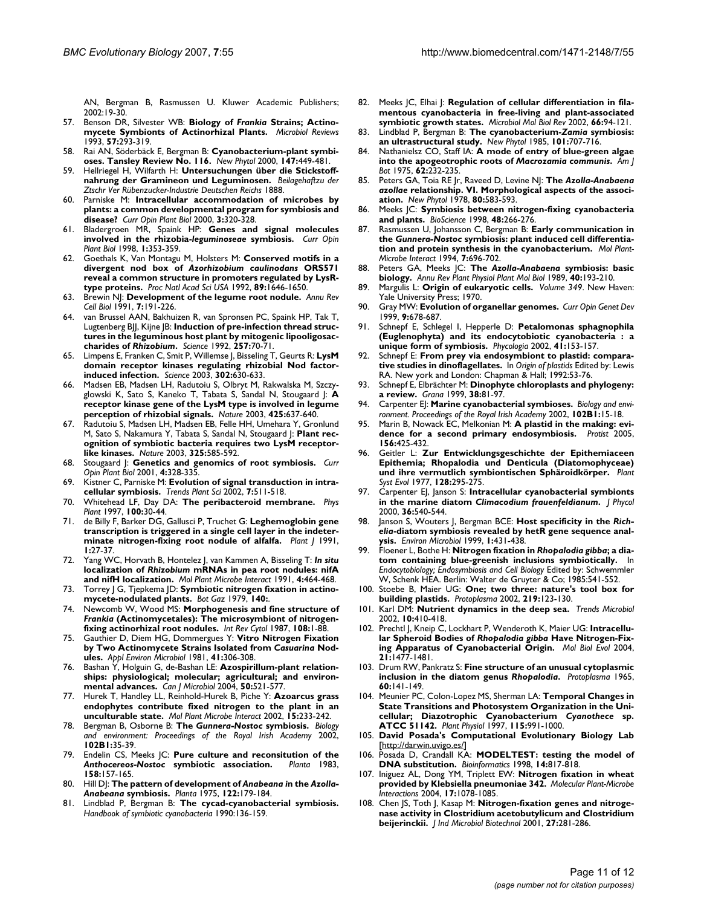AN, Bergman B, Rasmussen U. Kluwer Academic Publishers; 2002:19-30.

- 57. Benson DR, Silvester WB: **Biology of** *Frankia* **Strains; Actinomycete Symbionts of Actinorhizal Plants.** *Microbiol Reviews* 1993, **57:**293-319.
- 58. Rai AN, Söderbäck E, Bergman B: **Cyanobacterium-plant symbioses. Tansley Review No. 116.** *New Phytol* 2000, **147:**449-481.
- 59. Hellriegel H, Wilfarth H: **Untersuchungen über die Stickstoffnahrung der Gramineon und Leguminosen.** *Beilagehaftzu der Ztschr Ver Rübenzucker-Industrie Deutschen Reichs* 1888.
- 60. Parniske M: **[Intracellular accommodation of microbes by](http://www.ncbi.nlm.nih.gov/entrez/query.fcgi?cmd=Retrieve&db=PubMed&dopt=Abstract&list_uids=10873847) [plants: a common developmental program for symbiosis and](http://www.ncbi.nlm.nih.gov/entrez/query.fcgi?cmd=Retrieve&db=PubMed&dopt=Abstract&list_uids=10873847) [disease?](http://www.ncbi.nlm.nih.gov/entrez/query.fcgi?cmd=Retrieve&db=PubMed&dopt=Abstract&list_uids=10873847)** *Curr Opin Plant Biol* 2000, **3:**320-328.
- 61. Bladergroen MR, Spaink HP: **Genes and signal molecules involved in the rhizobia-***leguminoseae* **[symbiosis.](http://www.ncbi.nlm.nih.gov/entrez/query.fcgi?cmd=Retrieve&db=PubMed&dopt=Abstract&list_uids=10066605)** *Curr Opin Plant Biol* 1998, **1:**353-359.
- 62. Goethals K, Van Montagu M, Holsters M: **Conserved motifs in a divergent nod box of** *Azorhizobium caulinodans* **[ORS571](http://www.ncbi.nlm.nih.gov/entrez/query.fcgi?cmd=Retrieve&db=PubMed&dopt=Abstract&list_uids=1542656) [reveal a common structure in promoters regulated by LysR](http://www.ncbi.nlm.nih.gov/entrez/query.fcgi?cmd=Retrieve&db=PubMed&dopt=Abstract&list_uids=1542656)[type proteins.](http://www.ncbi.nlm.nih.gov/entrez/query.fcgi?cmd=Retrieve&db=PubMed&dopt=Abstract&list_uids=1542656)** *Proc Natl Acad Sci USA* 1992, **89:**1646-1650.
- 63. Brewin NJ: **[Development of the legume root nodule.](http://www.ncbi.nlm.nih.gov/entrez/query.fcgi?cmd=Retrieve&db=PubMed&dopt=Abstract&list_uids=1809347)** *Annu Rev Cell Biol* 1991, **7:**191-226.
- 64. van Brussel AAN, Bakhuizen R, van Spronsen PC, Spaink HP, Tak T, Lugtenberg BJJ, Kijne JB: **Induction of pre-infection thread structures in the leguminous host plant by mitogenic lipooligosaccharides of** *Rhizobium***.** *Science* 1992, **257:**70-71.
- 65. Limpens E, Franken C, Smit P, Willemse J, Bisseling T, Geurts R: **[LysM](http://www.ncbi.nlm.nih.gov/entrez/query.fcgi?cmd=Retrieve&db=PubMed&dopt=Abstract&list_uids=12947035) [domain receptor kinases regulating rhizobial Nod factor](http://www.ncbi.nlm.nih.gov/entrez/query.fcgi?cmd=Retrieve&db=PubMed&dopt=Abstract&list_uids=12947035)[induced infection.](http://www.ncbi.nlm.nih.gov/entrez/query.fcgi?cmd=Retrieve&db=PubMed&dopt=Abstract&list_uids=12947035)** *Science* 2003, **302:**630-633.
- 66. Madsen EB, Madsen LH, Radutoiu S, Olbryt M, Rakwalska M, Szczyglowski K, Sato S, Kaneko T, Tabata S, Sandal N, Stougaard J: **[A](http://www.ncbi.nlm.nih.gov/entrez/query.fcgi?cmd=Retrieve&db=PubMed&dopt=Abstract&list_uids=14534591) [receptor kinase gene of the LysM type is involved in legume](http://www.ncbi.nlm.nih.gov/entrez/query.fcgi?cmd=Retrieve&db=PubMed&dopt=Abstract&list_uids=14534591) [perception of rhizobial signals.](http://www.ncbi.nlm.nih.gov/entrez/query.fcgi?cmd=Retrieve&db=PubMed&dopt=Abstract&list_uids=14534591)** *Nature* 2003, **425:**637-640.
- 67. Radutoiu S, Madsen LH, Madsen EB, Felle HH, Umehara Y, Gronlund M, Sato S, Nakamura Y, Tabata S, Sandal N, Stougaard J: **Plant recognition of symbiotic bacteria requires two LysM receptorlike kinases.** *Nature* 2003, **325:**585-592.
- 68. Stougaard J: **[Genetics and genomics of root symbiosis.](http://www.ncbi.nlm.nih.gov/entrez/query.fcgi?cmd=Retrieve&db=PubMed&dopt=Abstract&list_uids=11418343)** *Curr Opin Plant Biol* 2001, **4:**328-335.
- 69. Kistner C, Parniske M: **[Evolution of signal transduction in intra](http://www.ncbi.nlm.nih.gov/entrez/query.fcgi?cmd=Retrieve&db=PubMed&dopt=Abstract&list_uids=12417152)[cellular symbiosis.](http://www.ncbi.nlm.nih.gov/entrez/query.fcgi?cmd=Retrieve&db=PubMed&dopt=Abstract&list_uids=12417152)** *Trends Plant Sci* 2002, **7:**511-518.
- 70. Whitehead LF, Day DA: **The peribacteroid membrane.** *Phys Plant* 1997, **100:**30-44.
- 71. de Billy F, Barker DG, Gallusci P, Truchet G: **Leghemoglobin gene transcription is triggered in a single cell layer in the indeterminate nitrogen-fixing root nodule of alfalfa.** *Plant J* 1991, **1:**27-37.
- 72. Yang WC, Horvath B, Hontelez J, van Kammen A, Bisseling T: *In situ* **localization of** *Rhizobium* **mRNAs in pea root nodules: nifA and nifH localization.** *Mol Plant Microbe Interact* 1991, **4:**464-468.
- 73. Torrey J G, Tjepkema JD: **Symbiotic nitrogen fixation in actinomycete-nodulated plants.** *Bot Gaz* 1979, **140:**.
- <span id="page-10-0"></span>74. Newcomb W, Wood MS: **Morphogenesis and fine structure of** *Frankia* **[\(Actinomycetales\): The microsymbiont of nitrogen](http://www.ncbi.nlm.nih.gov/entrez/query.fcgi?cmd=Retrieve&db=PubMed&dopt=Abstract&list_uids=2822591)[fixing actinorhizal root nodules.](http://www.ncbi.nlm.nih.gov/entrez/query.fcgi?cmd=Retrieve&db=PubMed&dopt=Abstract&list_uids=2822591)** *Int Rev Cytol* 1987, **108:**1-88.
- 75. Gauthier D, Diem HG, Dommergues Y: **Vitro Nitrogen Fixation by Two Actinomycete Strains Isolated from** *Casuarina* **[Nod](http://www.ncbi.nlm.nih.gov/entrez/query.fcgi?cmd=Retrieve&db=PubMed&dopt=Abstract&list_uids=16345698)[ules.](http://www.ncbi.nlm.nih.gov/entrez/query.fcgi?cmd=Retrieve&db=PubMed&dopt=Abstract&list_uids=16345698)** *Appl Environ Microbiol* 1981, **41:**306-308.
- 76. Bashan Y, Holguin G, de-Bashan LE: **[Azospirillum-plant relation](http://www.ncbi.nlm.nih.gov/entrez/query.fcgi?cmd=Retrieve&db=PubMed&dopt=Abstract&list_uids=15467782)[ships: physiological; molecular; agricultural; and environ](http://www.ncbi.nlm.nih.gov/entrez/query.fcgi?cmd=Retrieve&db=PubMed&dopt=Abstract&list_uids=15467782)[mental advances.](http://www.ncbi.nlm.nih.gov/entrez/query.fcgi?cmd=Retrieve&db=PubMed&dopt=Abstract&list_uids=15467782)** *Can J Microbiol* 2004, **50:**521-577.
- 77. Hurek T, Handley LL, Reinhold-Hurek B, Piche Y: **[Azoarcus grass](http://www.ncbi.nlm.nih.gov/entrez/query.fcgi?cmd=Retrieve&db=PubMed&dopt=Abstract&list_uids=11952126) [endophytes contribute fixed nitrogen to the plant in an](http://www.ncbi.nlm.nih.gov/entrez/query.fcgi?cmd=Retrieve&db=PubMed&dopt=Abstract&list_uids=11952126) [unculturable state.](http://www.ncbi.nlm.nih.gov/entrez/query.fcgi?cmd=Retrieve&db=PubMed&dopt=Abstract&list_uids=11952126)** *Mol Plant Microbe Interact* 2002, **15:**233-242.
- 78. Bergman B, Osborne B: **The** *Gunnera-Nostoc* **symbiosis.** *Biology and environment: Proceedings of the Royal Irish Academy* 2002, **102B1:**35-39.
- 79. Endelin CS, Meeks JC: **Pure culture and reconsitution of the** *Anthocereos-Nostoc symbiotic association.* **158:**157-165.
- 80. Hill DJ: **The pattern of development of** *Anabeana i***n the** *Azolla-Anabeana* **symbiosis.** *Planta* 1975, **122:**179-184.
- Lindblad P, Bergman B: The cycad-cyanobacterial symbiosis. *Handbook of symbiotic cyanobacteria* 1990:136-159.
- 82. Meeks JC, Elhai J: **[Regulation of cellular differentiation in fila](http://www.ncbi.nlm.nih.gov/entrez/query.fcgi?cmd=Retrieve&db=PubMed&dopt=Abstract&list_uids=11875129)[mentous cyanobacteria in free-living and plant-associated](http://www.ncbi.nlm.nih.gov/entrez/query.fcgi?cmd=Retrieve&db=PubMed&dopt=Abstract&list_uids=11875129) [symbiotic growth states.](http://www.ncbi.nlm.nih.gov/entrez/query.fcgi?cmd=Retrieve&db=PubMed&dopt=Abstract&list_uids=11875129)** *Microbiol Mol Biol Rev* 2002, **66:**94-121.
- 83. Lindblad P, Bergman B: **The cyanobacterium-***Zamia* **symbiosis: an ultrastructural study.** *New Phytol* 1985, **101:**707-716.
- 84. Nathanielsz CO, Staff IA: **A mode of entry of blue-green algae into the apogeotrophic roots of** *Macrozamia communis***.** *Am J Bot* 1975, **62:**232-235.
- 85. Peters GA, Toia RE Jr, Raveed D, Levine NJ: **The** *Azolla-Anabaena azollae* **relationship. VI. Morphological aspects of the association.** *New Phytol* 1978, **80:**583-593.
- 86. Meeks JC: **Symbiosis between nitrogen-fixing cyanobacteria and plants.** *BioScience* 1998, **48:**266-276.
- 87. Rasmussen U, Johansson C, Bergman B: **Early communication in the** *Gunnera-Nostoc* **symbiosis: plant induced cell differentiation and protein synthesis in the cyanobacterium.** *Mol Plant-Microbe Interact* 1994, **7:**696-702.
- 88. Peters GA, Meeks JC: **The** *Azolla-Anabaena* **symbiosis: basic biology.** *Annu Rev Plant Physiol Plant Mol Biol* 1989, **40:**193-210.
- 89. Margulis L: **Origin of eukaryotic cells.** *Volume 349*. New Haven: Yale University Press; 1970.
- 90. Gray MW: **[Evolution of organellar genomes.](http://www.ncbi.nlm.nih.gov/entrez/query.fcgi?cmd=Retrieve&db=PubMed&dopt=Abstract&list_uids=10607615)** *Curr Opin Genet Dev* 1999, **9:**678-687.
- 91. Schnepf E, Schlegel I, Hepperle D: **Petalomonas sphagnophila (Euglenophyta) and its endocytobiotic cyanobacteria : a unique form of symbiosis.** *Phycologia* 2002, **41:**153-157.
- 92. Schnepf E: **From prey via endosymbiont to plastid: comparative studies in dinoflagellates.** In *Origin of plastids* Edited by: Lewis RA. New york and London: Chapman & Hall; 1992:53-76.
- 93. Schnepf E, Elbrächter M: **Dinophyte chloroplasts and phylogeny: a review.** *Grana* 1999, **38:**81-97.
- 94. Carpenter E|: Marine cyanobacterial symbioses. Biology and envi*ronment. Proceedings of the Royal Irish Academy* 2002, **102B1:**15-18.
- 95. Marin B, Nowack EC, Melkonian M: **[A plastid in the making: evi](http://www.ncbi.nlm.nih.gov/entrez/query.fcgi?cmd=Retrieve&db=PubMed&dopt=Abstract&list_uids=16310747)[dence for a second primary endosymbiosis.](http://www.ncbi.nlm.nih.gov/entrez/query.fcgi?cmd=Retrieve&db=PubMed&dopt=Abstract&list_uids=16310747)** *Protist* 2005, **156:**425-432.
- 96. Geitler L: **Zur Entwicklungsgeschichte der Epithemiaceen Epithemia; Rhopalodia und Denticula (Diatomophyceae) und ihre vermutlich symbiontischen Sphäroidkörper.** *Plant Syst Evol* 1977, **128:**295-275.
- 97. Carpenter EJ, Janson S: **Intracellular cyanobacterial symbionts in the marine diatom** *Climacodium frauenfeldianum***.** *J Phycol* 2000, **36:**540-544.
- 98. Janson S, Wouters J, Bergman BCE: **Host specificity in the** *Richelia***[-diatom symbiosis revealed by hetR gene sequence anal](http://www.ncbi.nlm.nih.gov/entrez/query.fcgi?cmd=Retrieve&db=PubMed&dopt=Abstract&list_uids=11207763)[ysis.](http://www.ncbi.nlm.nih.gov/entrez/query.fcgi?cmd=Retrieve&db=PubMed&dopt=Abstract&list_uids=11207763)** *Environ Microbiol* 1999, **1:**431-438.
- 99. Floener L, Bothe H: **Nitrogen fixation in** *Rhopalodia gibba***; a diatom containing blue-greenish inclusions symbiotically.** In *Endocytobiology; Endosymbiosis and Cell Biology* Edited by: Schwemmler W, Schenk HEA. Berlin: Walter de Gruyter & Co; 1985:541-552.
- 100. Stoebe B, Maier UG: **[One; two three: nature's tool box for](http://www.ncbi.nlm.nih.gov/entrez/query.fcgi?cmd=Retrieve&db=PubMed&dopt=Abstract&list_uids=12099212) [building plastids.](http://www.ncbi.nlm.nih.gov/entrez/query.fcgi?cmd=Retrieve&db=PubMed&dopt=Abstract&list_uids=12099212)** *Protoplasma* 2002, **219:**123-130.
- 101. Karl DM: **[Nutrient dynamics in the deep sea.](http://www.ncbi.nlm.nih.gov/entrez/query.fcgi?cmd=Retrieve&db=PubMed&dopt=Abstract&list_uids=12217506)** *Trends Microbiol* 2002, **10:**410-418.
- 102. Prechtl J, Kneip C, Lockhart P, Wenderoth K, Maier UG: **Intracellular Spheroid Bodies of** *Rhopalodia gibba* **[Have Nitrogen-Fix](http://www.ncbi.nlm.nih.gov/entrez/query.fcgi?cmd=Retrieve&db=PubMed&dopt=Abstract&list_uids=14963089)[ing Apparatus of Cyanobacterial Origin.](http://www.ncbi.nlm.nih.gov/entrez/query.fcgi?cmd=Retrieve&db=PubMed&dopt=Abstract&list_uids=14963089)** *Mol Biol Evol* 2004, **21:**1477-1481.
- 103. Drum RW, Pankratz S: **Fine structure of an unusual cytoplasmic inclusion in the diatom genus** *Rhopalodia***.** *Protoplasma* 1965, **60:**141-149.
- 104. Meunier PC, Colon-Lopez MS, Sherman LA: **Temporal Changes in State Transitions and Photosystem Organization in the Unicellular; Diazotrophic Cyanobacterium** *Cyanothece* **[sp.](http://www.ncbi.nlm.nih.gov/entrez/query.fcgi?cmd=Retrieve&db=PubMed&dopt=Abstract&list_uids=12223855) [ATCC 51142.](http://www.ncbi.nlm.nih.gov/entrez/query.fcgi?cmd=Retrieve&db=PubMed&dopt=Abstract&list_uids=12223855)** *Plant Physiol* 1997, **115:**991-1000.
- 105. **David Posada's Computational Evolutionary Biology Lab** [<http://darwin.uvigo.es/>]
- 106. Posada D, Crandall KA: **[MODELTEST: testing the model of](http://www.ncbi.nlm.nih.gov/entrez/query.fcgi?cmd=Retrieve&db=PubMed&dopt=Abstract&list_uids=9918953) [DNA substitution.](http://www.ncbi.nlm.nih.gov/entrez/query.fcgi?cmd=Retrieve&db=PubMed&dopt=Abstract&list_uids=9918953)** *Bioinformatics* 1998, **14:**817-818.
- 107. Iniguez AL, Dong YM, Triplett EW: **[Nitrogen fixation in wheat](http://www.ncbi.nlm.nih.gov/entrez/query.fcgi?cmd=Retrieve&db=PubMed&dopt=Abstract&list_uids=15497400) [provided by Klebsiella pneumoniae 342.](http://www.ncbi.nlm.nih.gov/entrez/query.fcgi?cmd=Retrieve&db=PubMed&dopt=Abstract&list_uids=15497400)** *Molecular Plant-Microbe Interactions* 2004, **17:**1078-1085.
- 108. Chen JS, Toth J, Kasap M: **[Nitrogen-fixation genes and nitroge](http://www.ncbi.nlm.nih.gov/entrez/query.fcgi?cmd=Retrieve&db=PubMed&dopt=Abstract&list_uids=11781802)[nase activity in Clostridium acetobutylicum and Clostridium](http://www.ncbi.nlm.nih.gov/entrez/query.fcgi?cmd=Retrieve&db=PubMed&dopt=Abstract&list_uids=11781802) [beijerinckii.](http://www.ncbi.nlm.nih.gov/entrez/query.fcgi?cmd=Retrieve&db=PubMed&dopt=Abstract&list_uids=11781802)** *J Ind Microbiol Biotechnol* 2001, **27:**281-286.